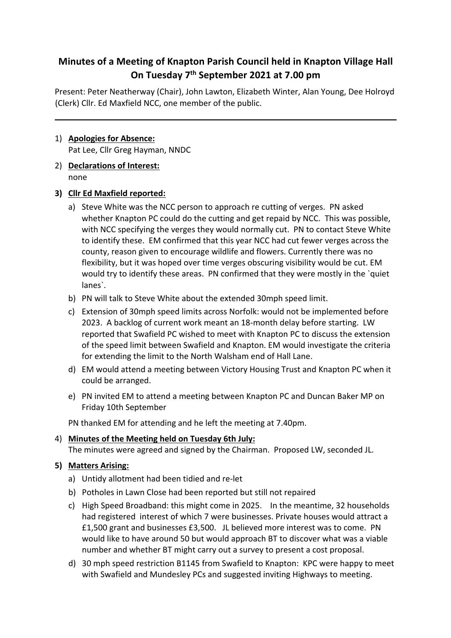# **Minutes of a Meeting of Knapton Parish Council held in Knapton Village Hall On Tuesday 7th September 2021 at 7.00 pm**

Present: Peter Neatherway (Chair), John Lawton, Elizabeth Winter, Alan Young, Dee Holroyd (Clerk) Cllr. Ed Maxfield NCC, one member of the public.

#### 1) **Apologies for Absence:** Pat Lee, Cllr Greg Hayman, NNDC

2) **Declarations of Interest:** none

# **3) Cllr Ed Maxfield reported:**

- a) Steve White was the NCC person to approach re cutting of verges. PN asked whether Knapton PC could do the cutting and get repaid by NCC. This was possible, with NCC specifying the verges they would normally cut. PN to contact Steve White to identify these. EM confirmed that this year NCC had cut fewer verges across the county, reason given to encourage wildlife and flowers. Currently there was no flexibility, but it was hoped over time verges obscuring visibility would be cut. EM would try to identify these areas. PN confirmed that they were mostly in the `quiet lanes`.
- b) PN will talk to Steve White about the extended 30mph speed limit.
- c) Extension of 30mph speed limits across Norfolk: would not be implemented before 2023. A backlog of current work meant an 18-month delay before starting. LW reported that Swafield PC wished to meet with Knapton PC to discuss the extension of the speed limit between Swafield and Knapton. EM would investigate the criteria for extending the limit to the North Walsham end of Hall Lane.
- d) EM would attend a meeting between Victory Housing Trust and Knapton PC when it could be arranged.
- e) PN invited EM to attend a meeting between Knapton PC and Duncan Baker MP on Friday 10th September

PN thanked EM for attending and he left the meeting at 7.40pm.

# 4) **Minutes of the Meeting held on Tuesday 6th July:** The minutes were agreed and signed by the Chairman. Proposed LW, seconded JL.

# **5) Matters Arising:**

- a) Untidy allotment had been tidied and re-let
- b) Potholes in Lawn Close had been reported but still not repaired
- c) High Speed Broadband: this might come in 2025. In the meantime, 32 households had registered interest of which 7 were businesses. Private houses would attract a £1,500 grant and businesses £3,500. JL believed more interest was to come. PN would like to have around 50 but would approach BT to discover what was a viable number and whether BT might carry out a survey to present a cost proposal.
- d) 30 mph speed restriction B1145 from Swafield to Knapton: KPC were happy to meet with Swafield and Mundesley PCs and suggested inviting Highways to meeting.